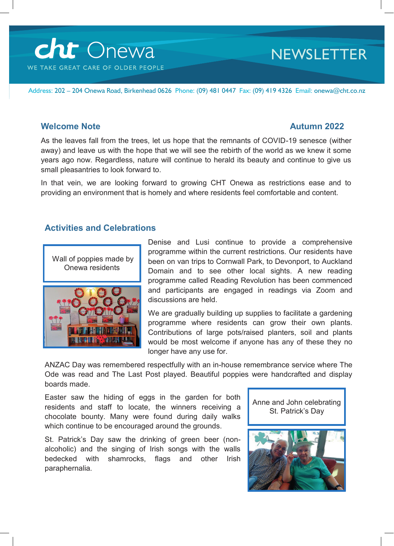

# **NEWSLETTER**

Address: 202 – 204 Onewa Road, Birkenhead 0626 Phone: (09) 481 0447 Fax: (09) 419 4326 Email: onewa@cht.co.nz

#### **Welcome Note Autumn 2022**

As the leaves fall from the trees, let us hope that the remnants of COVID-19 senesce (wither away) and leave us with the hope that we will see the rebirth of the world as we knew it some years ago now. Regardless, nature will continue to herald its beauty and continue to give us small pleasantries to look forward to.

In that vein, we are looking forward to growing CHT Onewa as restrictions ease and to providing an environment that is homely and where residents feel comfortable and content.

### **Activities and Celebrations**



Denise and Lusi continue to provide a comprehensive programme within the current restrictions. Our residents have been on van trips to Cornwall Park, to Devonport, to Auckland Domain and to see other local sights. A new reading programme called Reading Revolution has been commenced and participants are engaged in readings via Zoom and discussions are held.

We are gradually building up supplies to facilitate a gardening programme where residents can grow their own plants. Contributions of large pots/raised planters, soil and plants would be most welcome if anyone has any of these they no longer have any use for.

ANZAC Day was remembered respectfully with an in-house remembrance service where The Ode was read and The Last Post played. Beautiful poppies were handcrafted and display boards made.

Easter saw the hiding of eggs in the garden for both residents and staff to locate, the winners receiving a chocolate bounty. Many were found during daily walks which continue to be encouraged around the grounds.

St. Patrick's Day saw the drinking of green beer (nonalcoholic) and the singing of Irish songs with the walls bedecked with shamrocks, flags and other Irish paraphernalia.

Anne and John celebrating St. Patrick's Day